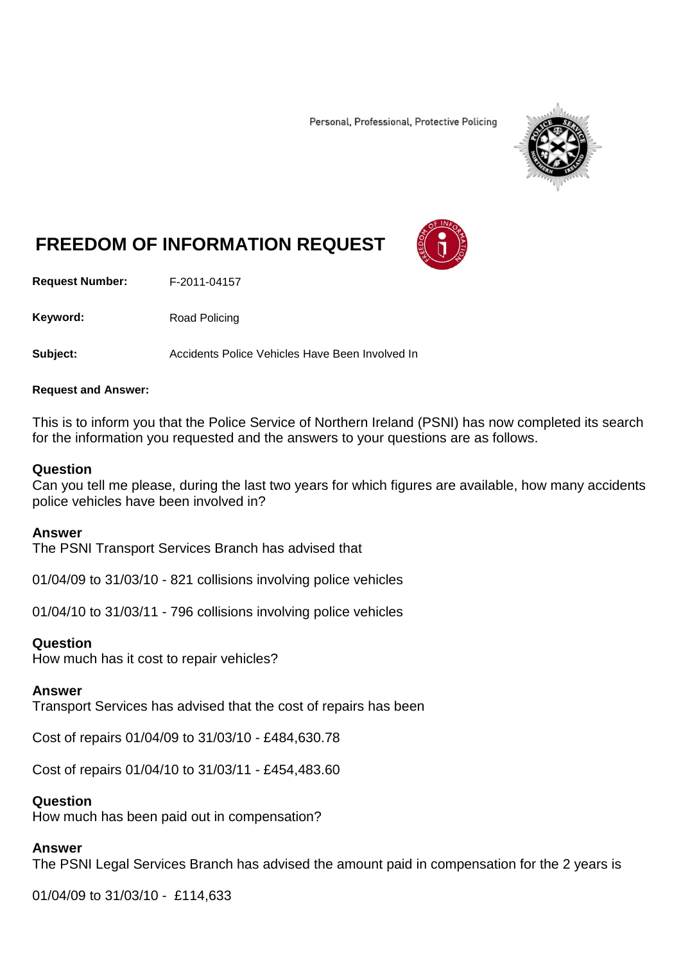Personal, Professional, Protective Policing



# **FREEDOM OF INFORMATION REQUEST**

**Request Number:** F-2011-04157

Keyword: Road Policing

**Subject:** Accidents Police Vehicles Have Been Involved In

#### **Request and Answer:**

This is to inform you that the Police Service of Northern Ireland (PSNI) has now completed its search for the information you requested and the answers to your questions are as follows.

### **Question**

Can you tell me please, during the last two years for which figures are available, how many accidents police vehicles have been involved in?

#### **Answer**

The PSNI Transport Services Branch has advised that

01/04/09 to 31/03/10 - 821 collisions involving police vehicles

01/04/10 to 31/03/11 - 796 collisions involving police vehicles

#### **Question**

How much has it cost to repair vehicles?

#### **Answer**

Transport Services has advised that the cost of repairs has been

Cost of repairs 01/04/09 to 31/03/10 - £484,630.78

Cost of repairs 01/04/10 to 31/03/11 - £454,483.60

# **Question**

How much has been paid out in compensation?

# **Answer**

The PSNI Legal Services Branch has advised the amount paid in compensation for the 2 years is

01/04/09 to 31/03/10 - £114,633